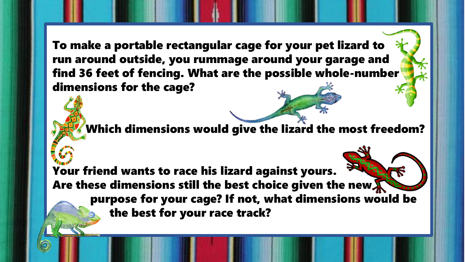To make a portable rectangular cage for your pet lizard to run around outside, you rummage around your garage and find 36 feet of fencing. What are the possible whole-number dimensions for the cage?

Which dimensions would give the lizard the most freedom?

Your friend wants to race his lizard against yours. Are these dimensions still the best choice given the new. purpose for your cage? If not, what dimensions would be the best for your race track?